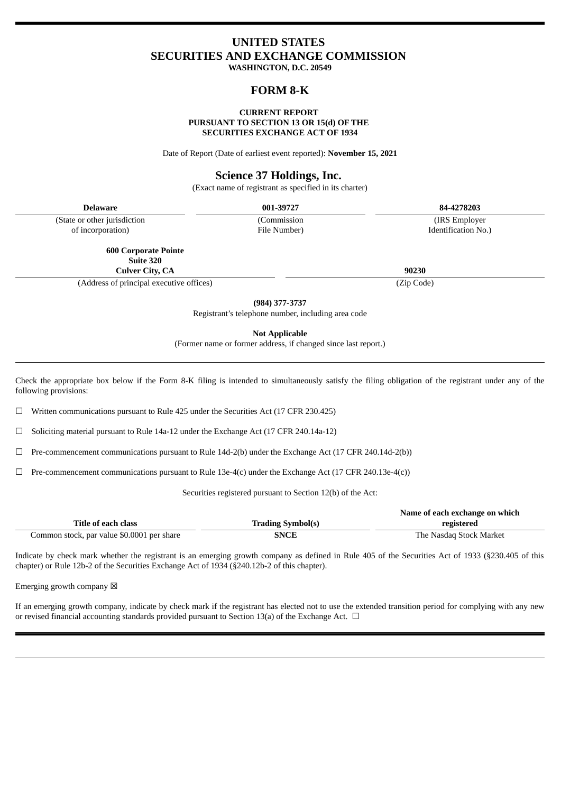# **UNITED STATES SECURITIES AND EXCHANGE COMMISSION**

**WASHINGTON, D.C. 20549**

# **FORM 8-K**

#### **CURRENT REPORT PURSUANT TO SECTION 13 OR 15(d) OF THE SECURITIES EXCHANGE ACT OF 1934**

Date of Report (Date of earliest event reported): **November 15, 2021**

# **Science 37 Holdings, Inc.**

(Exact name of registrant as specified in its charter)

| Delaware                     | 001-39727    | 84-4278203          |
|------------------------------|--------------|---------------------|
| (State or other jurisdiction | (Commission) | (IRS Employer)      |
| of incorporation)            | File Number) | Identification No.) |
| <b>600 Corporate Pointe</b>  |              |                     |

**600 Corporate Pointe Suite 320**

**Culver City, CA 90230**

(Address of principal executive offices) (Zip Code)

**(984) 377-3737**

Registrant's telephone number, including area code

**Not Applicable**

(Former name or former address, if changed since last report.)

Check the appropriate box below if the Form 8-K filing is intended to simultaneously satisfy the filing obligation of the registrant under any of the following provisions:

☐ Written communications pursuant to Rule 425 under the Securities Act (17 CFR 230.425)

☐ Soliciting material pursuant to Rule 14a-12 under the Exchange Act (17 CFR 240.14a-12)

 $\Box$  Pre-commencement communications pursuant to Rule 14d-2(b) under the Exchange Act (17 CFR 240.14d-2(b))

 $\Box$  Pre-commencement communications pursuant to Rule 13e-4(c) under the Exchange Act (17 CFR 240.13e-4(c))

Securities registered pursuant to Section 12(b) of the Act:

|                                            |                          | Name of each exchange on which |
|--------------------------------------------|--------------------------|--------------------------------|
| Title of each class                        | <b>Trading Symbol(s)</b> | registered                     |
| Common stock, par value \$0.0001 per share | <b>SNCE</b>              | The Nasdag Stock Market        |

Indicate by check mark whether the registrant is an emerging growth company as defined in Rule 405 of the Securities Act of 1933 (§230.405 of this chapter) or Rule 12b-2 of the Securities Exchange Act of 1934 (§240.12b-2 of this chapter).

Emerging growth company  $\boxtimes$ 

If an emerging growth company, indicate by check mark if the registrant has elected not to use the extended transition period for complying with any new or revised financial accounting standards provided pursuant to Section 13(a) of the Exchange Act.  $\Box$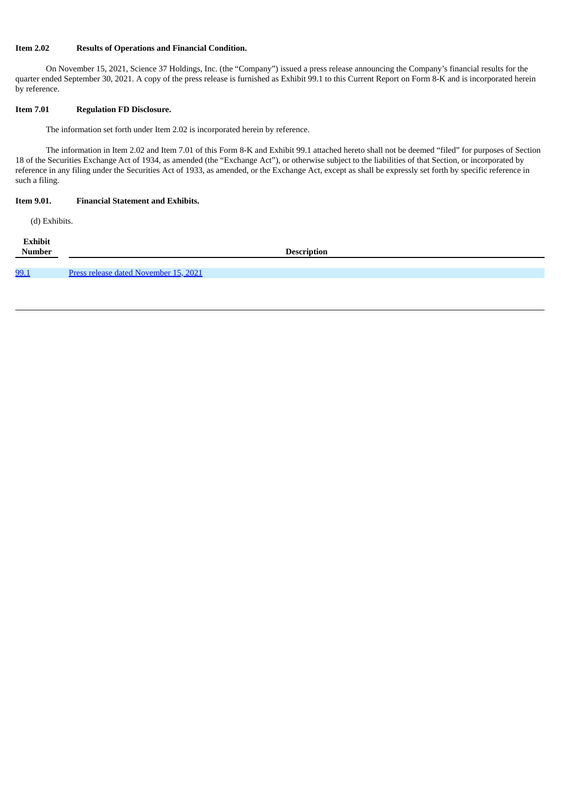### **Item 2.02 Results of Operations and Financial Condition.**

On November 15, 2021, Science 37 Holdings, Inc. (the "Company") issued a press release announcing the Company's financial results for the quarter ended September 30, 2021. A copy of the press release is furnished as Exhibit 99.1 to this Current Report on Form 8-K and is incorporated herein by reference.

### **Item 7.01 Regulation FD Disclosure.**

The information set forth under Item 2.02 is incorporated herein by reference.

The information in Item 2.02 and Item 7.01 of this Form 8-K and Exhibit 99.1 attached hereto shall not be deemed "filed" for purposes of Section 18 of the Securities Exchange Act of 1934, as amended (the "Exchange Act"), or otherwise subject to the liabilities of that Section, or incorporated by reference in any filing under the Securities Act of 1933, as amended, or the Exchange Act, except as shall be expressly set forth by specific reference in such a filing.

#### **Item 9.01. Financial Statement and Exhibits.**

(d) Exhibits.

| <b>Exhibit</b><br><b>Number</b> | <b>Description</b>                    |  |
|---------------------------------|---------------------------------------|--|
| 99.1                            | Press release dated November 15, 2021 |  |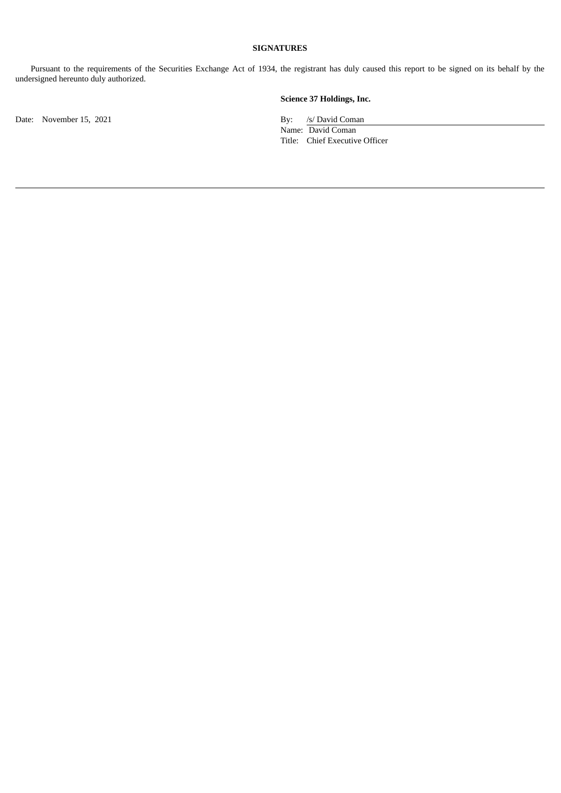## **SIGNATURES**

Pursuant to the requirements of the Securities Exchange Act of 1934, the registrant has duly caused this report to be signed on its behalf by the undersigned hereunto duly authorized.

Date: November 15, 2021 By: /s/ David Coman

**Science 37 Holdings, Inc.**

Name: David Coman Title: Chief Executive Officer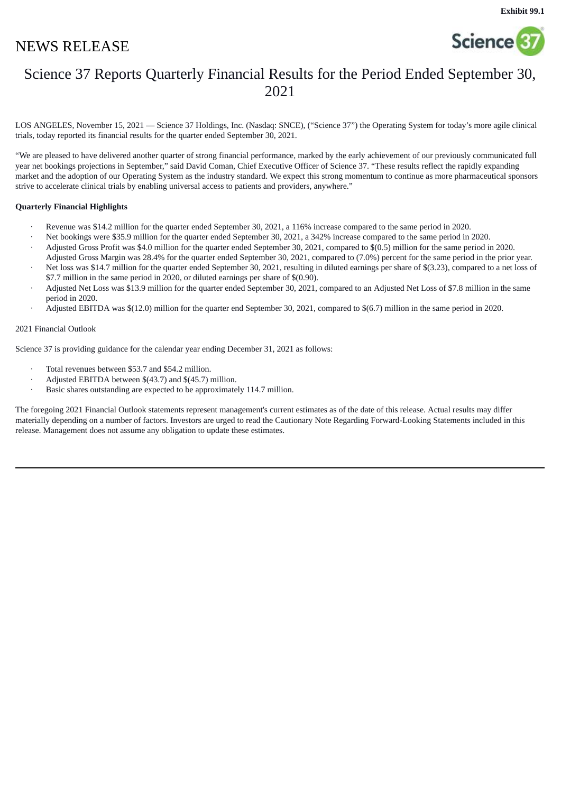

# <span id="page-3-0"></span>Science 37 Reports Quarterly Financial Results for the Period Ended September 30, 2021

LOS ANGELES, November 15, 2021 — Science 37 Holdings, Inc. (Nasdaq: SNCE), ("Science 37") the Operating System for today's more agile clinical trials, today reported its financial results for the quarter ended September 30, 2021.

"We are pleased to have delivered another quarter of strong financial performance, marked by the early achievement of our previously communicated full year net bookings projections in September," said David Coman, Chief Executive Officer of Science 37. "These results reflect the rapidly expanding market and the adoption of our Operating System as the industry standard. We expect this strong momentum to continue as more pharmaceutical sponsors strive to accelerate clinical trials by enabling universal access to patients and providers, anywhere."

### **Quarterly Financial Highlights**

- · Revenue was \$14.2 million for the quarter ended September 30, 2021, a 116% increase compared to the same period in 2020.
- · Net bookings were \$35.9 million for the quarter ended September 30, 2021, a 342% increase compared to the same period in 2020.
- · Adjusted Gross Profit was \$4.0 million for the quarter ended September 30, 2021, compared to \$(0.5) million for the same period in 2020. Adjusted Gross Margin was 28.4% for the quarter ended September 30, 2021, compared to (7.0%) percent for the same period in the prior year.
- Net loss was \$14.7 million for the quarter ended September 30, 2021, resulting in diluted earnings per share of \$(3.23), compared to a net loss of \$7.7 million in the same period in 2020, or diluted earnings per share of \$(0.90).
- · Adjusted Net Loss was \$13.9 million for the quarter ended September 30, 2021, compared to an Adjusted Net Loss of \$7.8 million in the same period in 2020.
- · Adjusted EBITDA was \$(12.0) million for the quarter end September 30, 2021, compared to \$(6.7) million in the same period in 2020.

### 2021 Financial Outlook

Science 37 is providing guidance for the calendar year ending December 31, 2021 as follows:

- Total revenues between \$53.7 and \$54.2 million.
- Adjusted EBITDA between \$(43.7) and \$(45.7) million.
- Basic shares outstanding are expected to be approximately 114.7 million.

The foregoing 2021 Financial Outlook statements represent management's current estimates as of the date of this release. Actual results may differ materially depending on a number of factors. Investors are urged to read the Cautionary Note Regarding Forward-Looking Statements included in this release. Management does not assume any obligation to update these estimates.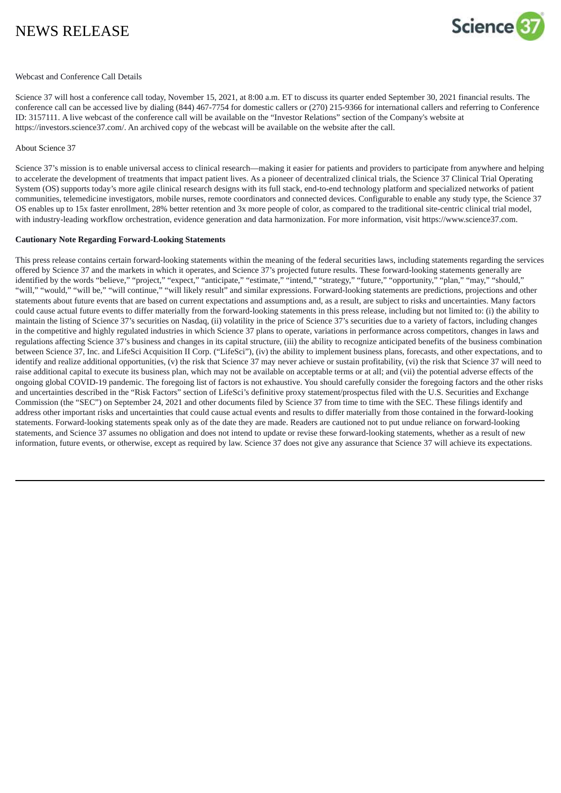

## Webcast and Conference Call Details

Science 37 will host a conference call today, November 15, 2021, at 8:00 a.m. ET to discuss its quarter ended September 30, 2021 financial results. The conference call can be accessed live by dialing (844) 467-7754 for domestic callers or (270) 215-9366 for international callers and referring to Conference ID: 3157111. A live webcast of the conference call will be available on the "Investor Relations" section of the Company's website at https://investors.science37.com/. An archived copy of the webcast will be available on the website after the call.

#### About Science 37

Science 37's mission is to enable universal access to clinical research—making it easier for patients and providers to participate from anywhere and helping to accelerate the development of treatments that impact patient lives. As a pioneer of decentralized clinical trials, the Science 37 Clinical Trial Operating System (OS) supports today's more agile clinical research designs with its full stack, end-to-end technology platform and specialized networks of patient communities, telemedicine investigators, mobile nurses, remote coordinators and connected devices. Configurable to enable any study type, the Science 37 OS enables up to 15x faster enrollment, 28% better retention and 3x more people of color, as compared to the traditional site-centric clinical trial model, with industry-leading workflow orchestration, evidence generation and data harmonization. For more information, visit https://www.science37.com.

#### **Cautionary Note Regarding Forward-Looking Statements**

This press release contains certain forward-looking statements within the meaning of the federal securities laws, including statements regarding the services offered by Science 37 and the markets in which it operates, and Science 37's projected future results. These forward-looking statements generally are identified by the words "believe," "project," "expect," "anticipate," "estimate," "intend," "strategy," "future," "opportunity," "plan," "may," "should," "will," "would," "will be," "will continue," "will likely result" and similar expressions. Forward-looking statements are predictions, projections and other statements about future events that are based on current expectations and assumptions and, as a result, are subject to risks and uncertainties. Many factors could cause actual future events to differ materially from the forward-looking statements in this press release, including but not limited to: (i) the ability to maintain the listing of Science 37's securities on Nasdaq, (ii) volatility in the price of Science 37's securities due to a variety of factors, including changes in the competitive and highly regulated industries in which Science 37 plans to operate, variations in performance across competitors, changes in laws and regulations affecting Science 37's business and changes in its capital structure, (iii) the ability to recognize anticipated benefits of the business combination between Science 37, Inc. and LifeSci Acquisition II Corp. ("LifeSci"), (iv) the ability to implement business plans, forecasts, and other expectations, and to identify and realize additional opportunities, (v) the risk that Science 37 may never achieve or sustain profitability, (vi) the risk that Science 37 will need to raise additional capital to execute its business plan, which may not be available on acceptable terms or at all; and (vii) the potential adverse effects of the ongoing global COVID-19 pandemic. The foregoing list of factors is not exhaustive. You should carefully consider the foregoing factors and the other risks and uncertainties described in the "Risk Factors" section of LifeSci's definitive proxy statement/prospectus filed with the U.S. Securities and Exchange Commission (the "SEC") on September 24, 2021 and other documents filed by Science 37 from time to time with the SEC. These filings identify and address other important risks and uncertainties that could cause actual events and results to differ materially from those contained in the forward-looking statements. Forward-looking statements speak only as of the date they are made. Readers are cautioned not to put undue reliance on forward-looking statements, and Science 37 assumes no obligation and does not intend to update or revise these forward-looking statements, whether as a result of new information, future events, or otherwise, except as required by law. Science 37 does not give any assurance that Science 37 will achieve its expectations.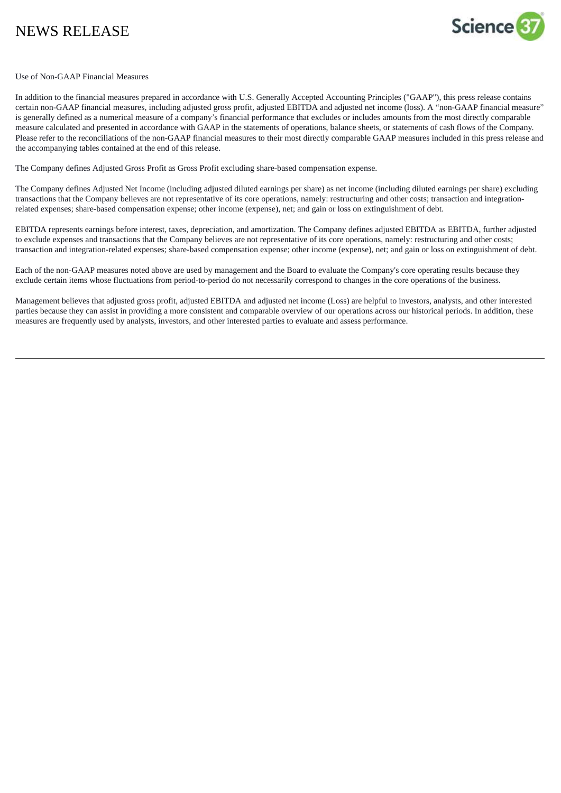

#### Use of Non-GAAP Financial Measures

In addition to the financial measures prepared in accordance with U.S. Generally Accepted Accounting Principles ("GAAP"), this press release contains certain non-GAAP financial measures, including adjusted gross profit, adjusted EBITDA and adjusted net income (loss). A "non-GAAP financial measure" is generally defined as a numerical measure of a company's financial performance that excludes or includes amounts from the most directly comparable measure calculated and presented in accordance with GAAP in the statements of operations, balance sheets, or statements of cash flows of the Company. Please refer to the reconciliations of the non-GAAP financial measures to their most directly comparable GAAP measures included in this press release and the accompanying tables contained at the end of this release.

The Company defines Adjusted Gross Profit as Gross Profit excluding share-based compensation expense.

The Company defines Adjusted Net Income (including adjusted diluted earnings per share) as net income (including diluted earnings per share) excluding transactions that the Company believes are not representative of its core operations, namely: restructuring and other costs; transaction and integrationrelated expenses; share-based compensation expense; other income (expense), net; and gain or loss on extinguishment of debt.

EBITDA represents earnings before interest, taxes, depreciation, and amortization. The Company defines adjusted EBITDA as EBITDA, further adjusted to exclude expenses and transactions that the Company believes are not representative of its core operations, namely: restructuring and other costs; transaction and integration-related expenses; share-based compensation expense; other income (expense), net; and gain or loss on extinguishment of debt.

Each of the non-GAAP measures noted above are used by management and the Board to evaluate the Company's core operating results because they exclude certain items whose fluctuations from period-to-period do not necessarily correspond to changes in the core operations of the business.

Management believes that adjusted gross profit, adjusted EBITDA and adjusted net income (Loss) are helpful to investors, analysts, and other interested parties because they can assist in providing a more consistent and comparable overview of our operations across our historical periods. In addition, these measures are frequently used by analysts, investors, and other interested parties to evaluate and assess performance.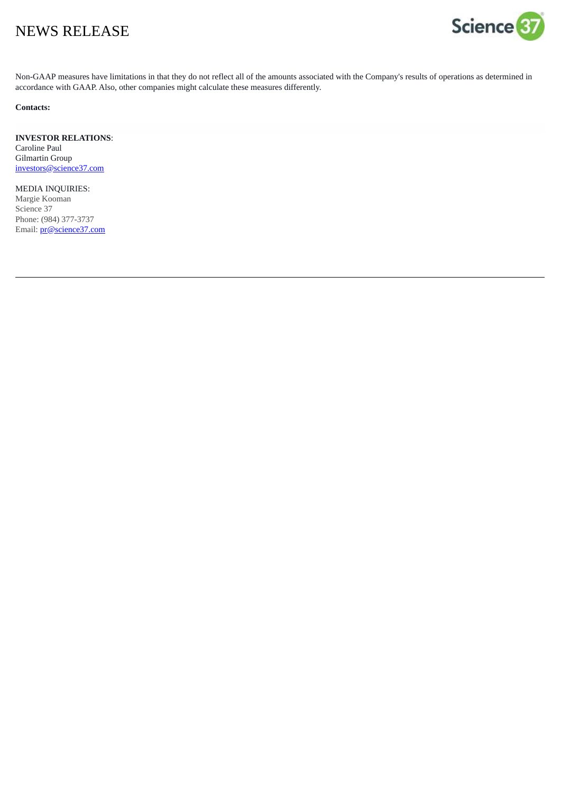

Non-GAAP measures have limitations in that they do not reflect all of the amounts associated with the Company's results of operations as determined in accordance with GAAP. Also, other companies might calculate these measures differently.

## **Contacts:**

#### **INVESTOR RELATIONS**: Caroline Paul

Gilmartin Group investors@science37.com

MEDIA INQUIRIES: Margie Kooman Science 37 Phone: (984) 377-3737 Email: pr@science37.com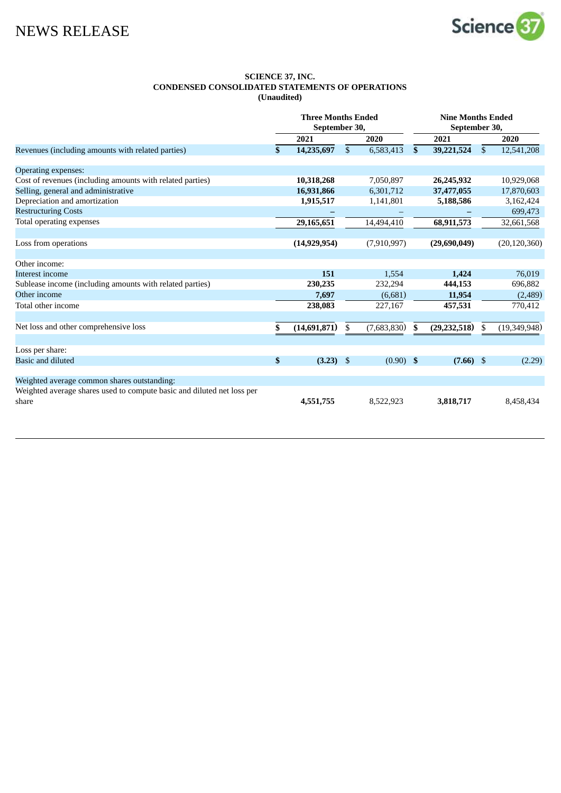

### **SCIENCE 37, INC. CONDENSED CONSOLIDATED STATEMENTS OF OPERATIONS (Unaudited)**

|                                                                        | <b>Three Months Ended</b><br>September 30, |                |              |             | <b>Nine Months Ended</b><br>September 30, |                |    |                |
|------------------------------------------------------------------------|--------------------------------------------|----------------|--------------|-------------|-------------------------------------------|----------------|----|----------------|
|                                                                        |                                            | 2021           |              | 2020        |                                           | 2021           |    | 2020           |
| Revenues (including amounts with related parties)                      | \$                                         | 14,235,697     | $\mathbb{S}$ | 6,583,413   | \$.                                       | 39,221,524     | \$ | 12,541,208     |
| Operating expenses:                                                    |                                            |                |              |             |                                           |                |    |                |
| Cost of revenues (including amounts with related parties)              |                                            | 10,318,268     |              | 7,050,897   |                                           | 26,245,932     |    | 10,929,068     |
| Selling, general and administrative                                    |                                            | 16,931,866     |              | 6,301,712   |                                           | 37,477,055     |    | 17,870,603     |
| Depreciation and amortization                                          |                                            | 1,915,517      |              | 1,141,801   |                                           | 5,188,586      |    | 3,162,424      |
| <b>Restructuring Costs</b>                                             |                                            |                |              |             |                                           |                |    | 699,473        |
| Total operating expenses                                               |                                            | 29,165,651     |              | 14,494,410  |                                           | 68,911,573     |    | 32,661,568     |
|                                                                        |                                            |                |              |             |                                           |                |    |                |
| Loss from operations                                                   |                                            | (14, 929, 954) |              | (7,910,997) |                                           | (29,690,049)   |    | (20, 120, 360) |
| Other income:                                                          |                                            |                |              |             |                                           |                |    |                |
| Interest income                                                        |                                            | 151            |              | 1,554       |                                           | 1,424          |    | 76,019         |
| Sublease income (including amounts with related parties)               |                                            | 230,235        |              | 232,294     |                                           | 444,153        |    | 696,882        |
| Other income                                                           |                                            | 7,697          |              | (6,681)     |                                           | 11,954         |    | (2,489)        |
| Total other income                                                     |                                            | 238,083        |              | 227,167     |                                           | 457,531        |    | 770,412        |
| Net loss and other comprehensive loss                                  | \$                                         | (14,691,871)   | \$           | (7,683,830) | \$                                        | (29, 232, 518) | \$ | (19,349,948)   |
|                                                                        |                                            |                |              |             |                                           |                |    |                |
| Loss per share:                                                        |                                            |                |              |             |                                           |                |    |                |
| Basic and diluted                                                      | \$                                         | $(3.23)$ \$    |              | $(0.90)$ \$ |                                           | $(7.66)$ \$    |    | (2.29)         |
| Weighted average common shares outstanding:                            |                                            |                |              |             |                                           |                |    |                |
| Weighted average shares used to compute basic and diluted net loss per |                                            |                |              |             |                                           |                |    |                |
| share                                                                  |                                            | 4,551,755      |              | 8,522,923   |                                           | 3,818,717      |    | 8,458,434      |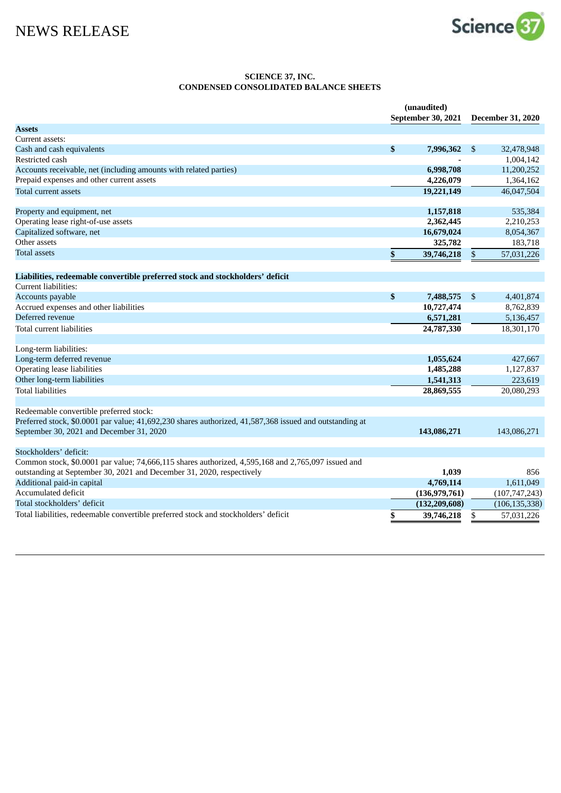

#### **SCIENCE 37, INC. CONDENSED CONSOLIDATED BALANCE SHEETS**

|                                                                                                         | (unaudited)        |    |                          |  |
|---------------------------------------------------------------------------------------------------------|--------------------|----|--------------------------|--|
|                                                                                                         | September 30, 2021 |    | <b>December 31, 2020</b> |  |
| Assets                                                                                                  |                    |    |                          |  |
| Current assets:                                                                                         |                    |    |                          |  |
| Cash and cash equivalents                                                                               | \$<br>7,996,362    | \$ | 32,478,948               |  |
| Restricted cash                                                                                         |                    |    | 1,004,142                |  |
| Accounts receivable, net (including amounts with related parties)                                       | 6,998,708          |    | 11,200,252               |  |
| Prepaid expenses and other current assets                                                               | 4,226,079          |    | 1,364,162                |  |
| <b>Total current assets</b>                                                                             | 19,221,149         |    | 46,047,504               |  |
|                                                                                                         |                    |    |                          |  |
| Property and equipment, net                                                                             | 1,157,818          |    | 535,384                  |  |
| Operating lease right-of-use assets                                                                     | 2,362,445          |    | 2,210,253                |  |
| Capitalized software, net                                                                               | 16,679,024         |    | 8,054,367                |  |
| Other assets                                                                                            | 325,782            |    | 183,718                  |  |
| Total assets                                                                                            | \$<br>39,746,218   | \$ | 57,031,226               |  |
|                                                                                                         |                    |    |                          |  |
| Liabilities, redeemable convertible preferred stock and stockholders' deficit                           |                    |    |                          |  |
| Current liabilities:                                                                                    |                    |    |                          |  |
| Accounts payable                                                                                        | \$<br>7,488,575    | \$ | 4,401,874                |  |
| Accrued expenses and other liabilities                                                                  | 10,727,474         |    | 8,762,839                |  |
| Deferred revenue                                                                                        | 6,571,281          |    | 5,136,457                |  |
| Total current liabilities                                                                               | 24,787,330         |    | 18,301,170               |  |
|                                                                                                         |                    |    |                          |  |
| Long-term liabilities:                                                                                  |                    |    |                          |  |
| Long-term deferred revenue                                                                              | 1,055,624          |    | 427,667                  |  |
| <b>Operating lease liabilities</b>                                                                      | 1,485,288          |    | 1,127,837                |  |
| Other long-term liabilities                                                                             | 1,541,313          |    | 223,619                  |  |
| <b>Total liabilities</b>                                                                                | 28,869,555         |    | 20,080,293               |  |
|                                                                                                         |                    |    |                          |  |
| Redeemable convertible preferred stock:                                                                 |                    |    |                          |  |
| Preferred stock, \$0.0001 par value; 41,692,230 shares authorized, 41,587,368 issued and outstanding at |                    |    |                          |  |
| September 30, 2021 and December 31, 2020                                                                | 143,086,271        |    | 143,086,271              |  |
|                                                                                                         |                    |    |                          |  |
| Stockholders' deficit:                                                                                  |                    |    |                          |  |
| Common stock, \$0.0001 par value; 74,666,115 shares authorized, 4,595,168 and 2,765,097 issued and      |                    |    |                          |  |
| outstanding at September 30, 2021 and December 31, 2020, respectively                                   | 1,039              |    | 856                      |  |
| Additional paid-in capital                                                                              | 4,769,114          |    | 1,611,049                |  |
| <b>Accumulated deficit</b>                                                                              | (136, 979, 761)    |    | (107, 747, 243)          |  |
| Total stockholders' deficit                                                                             | (132, 209, 608)    |    | (106, 135, 338)          |  |
| Total liabilities, redeemable convertible preferred stock and stockholders' deficit                     | \$<br>39,746,218   | \$ | 57,031,226               |  |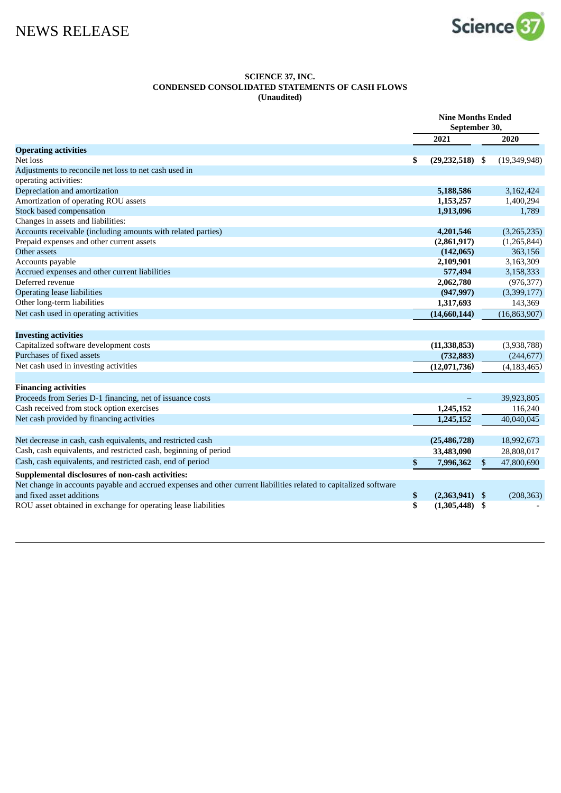

#### **SCIENCE 37, INC. CONDENSED CONSOLIDATED STATEMENTS OF CASH FLOWS (Unaudited)**

|                                                                                                                   |    | <b>Nine Months Ended</b><br>September 30, |                |                |
|-------------------------------------------------------------------------------------------------------------------|----|-------------------------------------------|----------------|----------------|
|                                                                                                                   |    | 2021                                      |                | 2020           |
| <b>Operating activities</b>                                                                                       |    |                                           |                |                |
| Net loss                                                                                                          | \$ | $(29, 232, 518)$ \$                       |                | (19,349,948)   |
| Adjustments to reconcile net loss to net cash used in                                                             |    |                                           |                |                |
| operating activities:                                                                                             |    |                                           |                |                |
| Depreciation and amortization                                                                                     |    | 5,188,586                                 |                | 3,162,424      |
| Amortization of operating ROU assets                                                                              |    | 1,153,257                                 |                | 1,400,294      |
| Stock based compensation                                                                                          |    | 1,913,096                                 |                | 1,789          |
| Changes in assets and liabilities:                                                                                |    |                                           |                |                |
| Accounts receivable (including amounts with related parties)                                                      |    | 4,201,546                                 |                | (3,265,235)    |
| Prepaid expenses and other current assets                                                                         |    | (2,861,917)                               |                | (1,265,844)    |
| Other assets                                                                                                      |    | (142,065)                                 |                | 363,156        |
| Accounts payable                                                                                                  |    | 2,109,901                                 |                | 3,163,309      |
| Accrued expenses and other current liabilities                                                                    |    | 577,494                                   |                | 3,158,333      |
| Deferred revenue                                                                                                  |    | 2,062,780                                 |                | (976, 377)     |
| <b>Operating lease liabilities</b>                                                                                |    | (947, 997)                                |                | (3,399,177)    |
| Other long-term liabilities                                                                                       |    | 1,317,693                                 |                | 143,369        |
| Net cash used in operating activities                                                                             |    | (14,660,144)                              |                | (16, 863, 907) |
| <b>Investing activities</b>                                                                                       |    |                                           |                |                |
| Capitalized software development costs                                                                            |    | (11, 338, 853)                            |                | (3,938,788)    |
| Purchases of fixed assets                                                                                         |    | (732, 883)                                |                |                |
|                                                                                                                   |    |                                           |                | (244, 677)     |
| Net cash used in investing activities                                                                             |    | (12,071,736)                              |                | (4, 183, 465)  |
| <b>Financing activities</b>                                                                                       |    |                                           |                |                |
| Proceeds from Series D-1 financing, net of issuance costs                                                         |    |                                           |                | 39,923,805     |
| Cash received from stock option exercises                                                                         |    | 1,245,152                                 |                | 116,240        |
| Net cash provided by financing activities                                                                         |    | 1,245,152                                 |                | 40,040,045     |
|                                                                                                                   |    |                                           |                |                |
| Net decrease in cash, cash equivalents, and restricted cash                                                       |    | (25, 486, 728)                            |                | 18,992,673     |
| Cash, cash equivalents, and restricted cash, beginning of period                                                  |    | 33,483,090                                |                | 28,808,017     |
| Cash, cash equivalents, and restricted cash, end of period                                                        | \$ | 7,996,362                                 | \$             | 47,800,690     |
| Supplemental disclosures of non-cash activities:                                                                  |    |                                           |                |                |
| Net change in accounts payable and accrued expenses and other current liabilities related to capitalized software |    |                                           |                |                |
| and fixed asset additions                                                                                         | \$ | (2,363,941)                               | $\mathfrak{F}$ | (208, 363)     |
| ROU asset obtained in exchange for operating lease liabilities                                                    | \$ | $(1,305,448)$ \$                          |                |                |